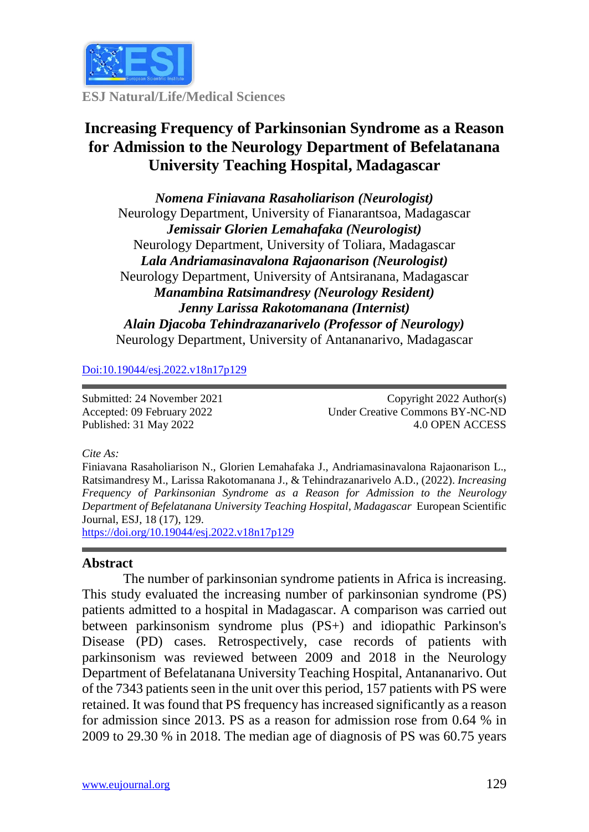

**ESJ Natural/Life/Medical Sciences**

# **Increasing Frequency of Parkinsonian Syndrome as a Reason for Admission to the Neurology Department of Befelatanana University Teaching Hospital, Madagascar**

*Nomena Finiavana Rasaholiarison (Neurologist)* Neurology Department, University of Fianarantsoa, Madagascar *Jemissair Glorien Lemahafaka (Neurologist)* Neurology Department, University of Toliara, Madagascar *Lala Andriamasinavalona Rajaonarison (Neurologist)* Neurology Department, University of Antsiranana, Madagascar *Manambina Ratsimandresy (Neurology Resident) Jenny Larissa Rakotomanana (Internist) Alain Djacoba Tehindrazanarivelo (Professor of Neurology)* Neurology Department, University of Antananarivo, Madagascar

[Doi:10.19044/esj.2022.v18n17p12](https://doi.org/10.19044/esj.2021.v17n29p1)9

Submitted: 24 November 2021 Accepted: 09 February 2022 Published: 31 May 2022

Copyright 2022 Author(s) Under Creative Commons BY-NC-ND 4.0 OPEN ACCESS

#### *Cite As:*

Finiavana Rasaholiarison N., Glorien Lemahafaka J., Andriamasinavalona Rajaonarison L., Ratsimandresy M., Larissa Rakotomanana J., & Tehindrazanarivelo A.D., (2022). *Increasing Frequency of Parkinsonian Syndrome as a Reason for Admission to the Neurology Department of Befelatanana University Teaching Hospital, Madagascar* European Scientific Journal, ESJ, 18 (17), 129. [https://doi.org/10.19044/esj.2022.v18n17p12](https://doi.org/10.19044/esj.2022.v18n17p1)9

#### **Abstract**

The number of parkinsonian syndrome patients in Africa is increasing. This study evaluated the increasing number of parkinsonian syndrome (PS) patients admitted to a hospital in Madagascar. A comparison was carried out between parkinsonism syndrome plus (PS+) and idiopathic Parkinson's Disease (PD) cases. Retrospectively, case records of patients with parkinsonism was reviewed between 2009 and 2018 in the Neurology Department of Befelatanana University Teaching Hospital, Antananarivo. Out of the 7343 patients seen in the unit over this period, 157 patients with PS were retained. It was found that PS frequency has increased significantly as a reason for admission since 2013. PS as a reason for admission rose from 0.64 % in 2009 to 29.30 % in 2018. The median age of diagnosis of PS was 60.75 years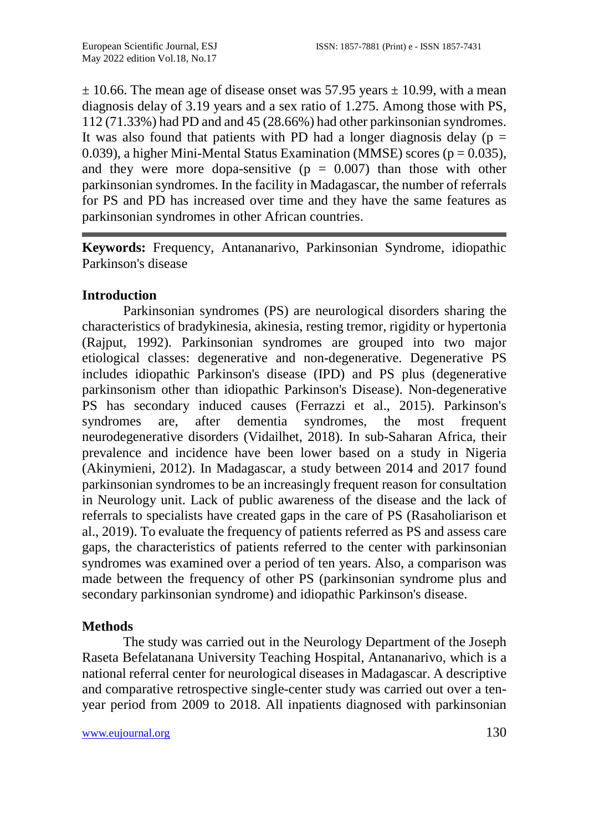$\pm$  10.66. The mean age of disease onset was 57.95 years  $\pm$  10.99, with a mean diagnosis delay of 3.19 years and a sex ratio of 1.275. Among those with PS, 112 (71.33%) had PD and and 45 (28.66%) had other parkinsonian syndromes. It was also found that patients with PD had a longer diagnosis delay ( $p =$ 0.039), a higher Mini-Mental Status Examination (MMSE) scores ( $p = 0.035$ ), and they were more dopa-sensitive  $(p = 0.007)$  than those with other parkinsonian syndromes. In the facility in Madagascar, the number of referrals for PS and PD has increased over time and they have the same features as parkinsonian syndromes in other African countries.

**Keywords:** Frequency, Antananarivo, Parkinsonian Syndrome, idiopathic Parkinson's disease

## **Introduction**

Parkinsonian syndromes (PS) are neurological disorders sharing the characteristics of bradykinesia, akinesia, resting tremor, rigidity or hypertonia (Rajput, 1992). Parkinsonian syndromes are grouped into two major etiological classes: degenerative and non-degenerative. Degenerative PS includes idiopathic Parkinson's disease (IPD) and PS plus (degenerative parkinsonism other than idiopathic Parkinson's Disease). Non-degenerative PS has secondary induced causes (Ferrazzi et al., 2015). Parkinson's syndromes are, after dementia syndromes, the most frequent neurodegenerative disorders (Vidailhet, 2018). In sub-Saharan Africa, their prevalence and incidence have been lower based on a study in Nigeria (Akinymieni, 2012). In Madagascar, a study between 2014 and 2017 found parkinsonian syndromes to be an increasingly frequent reason for consultation in Neurology unit. Lack of public awareness of the disease and the lack of referrals to specialists have created gaps in the care of PS (Rasaholiarison et al., 2019). To evaluate the frequency of patients referred as PS and assess care gaps, the characteristics of patients referred to the center with parkinsonian syndromes was examined over a period of ten years. Also, a comparison was made between the frequency of other PS (parkinsonian syndrome plus and secondary parkinsonian syndrome) and idiopathic Parkinson's disease.

## **Methods**

The study was carried out in the Neurology Department of the Joseph Raseta Befelatanana University Teaching Hospital, Antananarivo, which is a national referral center for neurological diseases in Madagascar. A descriptive and comparative retrospective single-center study was carried out over a tenyear period from 2009 to 2018. All inpatients diagnosed with parkinsonian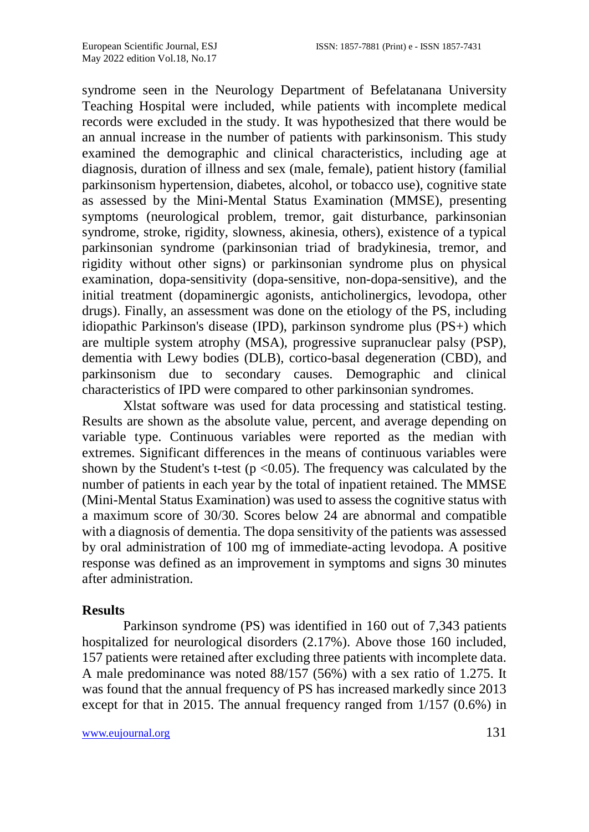syndrome seen in the Neurology Department of Befelatanana University Teaching Hospital were included, while patients with incomplete medical records were excluded in the study. It was hypothesized that there would be an annual increase in the number of patients with parkinsonism. This study examined the demographic and clinical characteristics, including age at diagnosis, duration of illness and sex (male, female), patient history (familial parkinsonism hypertension, diabetes, alcohol, or tobacco use), cognitive state as assessed by the Mini-Mental Status Examination (MMSE), presenting symptoms (neurological problem, tremor, gait disturbance, parkinsonian syndrome, stroke, rigidity, slowness, akinesia, others), existence of a typical parkinsonian syndrome (parkinsonian triad of bradykinesia, tremor, and rigidity without other signs) or parkinsonian syndrome plus on physical examination, dopa-sensitivity (dopa-sensitive, non-dopa-sensitive), and the initial treatment (dopaminergic agonists, anticholinergics, levodopa, other drugs). Finally, an assessment was done on the etiology of the PS, including idiopathic Parkinson's disease (IPD), parkinson syndrome plus (PS+) which are multiple system atrophy (MSA), progressive supranuclear palsy (PSP), dementia with Lewy bodies (DLB), cortico-basal degeneration (CBD), and parkinsonism due to secondary causes. Demographic and clinical characteristics of IPD were compared to other parkinsonian syndromes.

Xlstat software was used for data processing and statistical testing. Results are shown as the absolute value, percent, and average depending on variable type. Continuous variables were reported as the median with extremes. Significant differences in the means of continuous variables were shown by the Student's t-test ( $p \le 0.05$ ). The frequency was calculated by the number of patients in each year by the total of inpatient retained. The MMSE (Mini-Mental Status Examination) was used to assess the cognitive status with a maximum score of 30/30. Scores below 24 are abnormal and compatible with a diagnosis of dementia. The dopa sensitivity of the patients was assessed by oral administration of 100 mg of immediate-acting levodopa. A positive response was defined as an improvement in symptoms and signs 30 minutes after administration.

## **Results**

Parkinson syndrome (PS) was identified in 160 out of 7,343 patients hospitalized for neurological disorders (2.17%). Above those 160 included, 157 patients were retained after excluding three patients with incomplete data. A male predominance was noted 88/157 (56%) with a sex ratio of 1.275. It was found that the annual frequency of PS has increased markedly since 2013 except for that in 2015. The annual frequency ranged from 1/157 (0.6%) in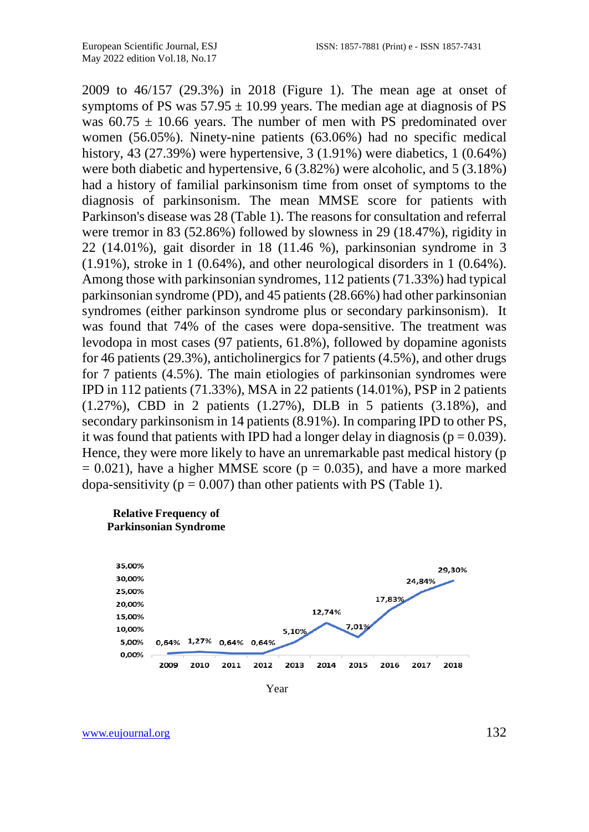2009 to 46/157 (29.3%) in 2018 (Figure 1). The mean age at onset of symptoms of PS was  $57.95 \pm 10.99$  years. The median age at diagnosis of PS was  $60.75 \pm 10.66$  years. The number of men with PS predominated over women (56.05%). Ninety-nine patients (63.06%) had no specific medical history, 43 (27.39%) were hypertensive, 3 (1.91%) were diabetics, 1 (0.64%) were both diabetic and hypertensive, 6 (3.82%) were alcoholic, and 5 (3.18%) had a history of familial parkinsonism time from onset of symptoms to the diagnosis of parkinsonism. The mean MMSE score for patients with Parkinson's disease was 28 (Table 1). The reasons for consultation and referral were tremor in 83 (52.86%) followed by slowness in 29 (18.47%), rigidity in 22 (14.01%), gait disorder in 18 (11.46 %), parkinsonian syndrome in 3 (1.91%), stroke in 1 (0.64%), and other neurological disorders in 1 (0.64%). Among those with parkinsonian syndromes, 112 patients (71.33%) had typical parkinsonian syndrome (PD), and 45 patients (28.66%) had other parkinsonian syndromes (either parkinson syndrome plus or secondary parkinsonism). It was found that 74% of the cases were dopa-sensitive. The treatment was levodopa in most cases (97 patients, 61.8%), followed by dopamine agonists for 46 patients (29.3%), anticholinergics for 7 patients (4.5%), and other drugs for 7 patients (4.5%). The main etiologies of parkinsonian syndromes were IPD in 112 patients (71.33%), MSA in 22 patients (14.01%), PSP in 2 patients (1.27%), CBD in 2 patients (1.27%), DLB in 5 patients (3.18%), and secondary parkinsonism in 14 patients (8.91%). In comparing IPD to other PS, it was found that patients with IPD had a longer delay in diagnosis ( $p = 0.039$ ). Hence, they were more likely to have an unremarkable past medical history (p  $= 0.021$ ), have a higher MMSE score ( $p = 0.035$ ), and have a more marked dopa-sensitivity ( $p = 0.007$ ) than other patients with PS (Table 1).

#### **Relative Frequency of Parkinsonian Syndrome**



Year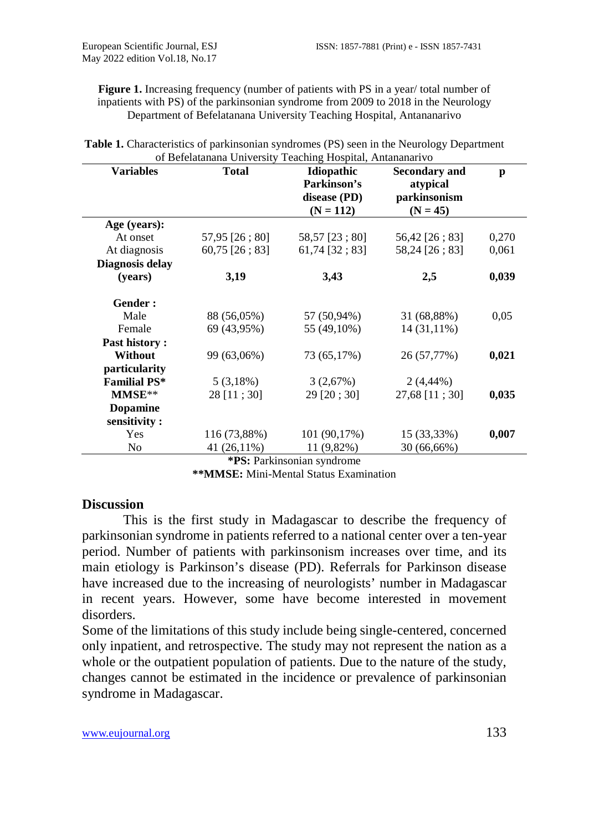Figure 1. Increasing frequency (number of patients with PS in a year/ total number of inpatients with PS) of the parkinsonian syndrome from 2009 to 2018 in the Neurology Department of Befelatanana University Teaching Hospital, Antananarivo

| <b>Variables</b>    | <b>Total</b>     | <b>Idiopathic</b> | <b>Secondary and</b> | p     |
|---------------------|------------------|-------------------|----------------------|-------|
|                     |                  | Parkinson's       | atypical             |       |
|                     |                  | disease (PD)      | parkinsonism         |       |
|                     |                  | $(N = 112)$       | $(N = 45)$           |       |
| Age (years):        |                  |                   |                      |       |
| At onset            | 57,95 [26; 80]   | 58,57 [23; 80]    | 56,42 [26; 83]       | 0,270 |
| At diagnosis        | $60,75$ [26; 83] | $61,74$ [32; 83]  | 58,24 [26; 83]       | 0,061 |
| Diagnosis delay     |                  |                   |                      |       |
| (years)             | 3,19             | 3,43              | 2,5                  | 0,039 |
|                     |                  |                   |                      |       |
| Gender:             |                  |                   |                      |       |
| Male                | 88 (56,05%)      | 57 (50,94%)       | 31 (68,88%)          | 0,05  |
| Female              | 69 (43,95%)      | 55 (49,10%)       | 14 (31,11%)          |       |
| Past history:       |                  |                   |                      |       |
| Without             | 99 (63,06%)      | 73 (65,17%)       | 26 (57,77%)          | 0,021 |
| particularity       |                  |                   |                      |       |
| <b>Familial PS*</b> | 5(3,18%)         | 3(2,67%)          | $2(4,44\%)$          |       |
| MMSE**              | 28 [11 ; 30]     | $29$ [20; 30]     | 27,68 [11; 30]       | 0,035 |
| <b>Dopamine</b>     |                  |                   |                      |       |
| sensitivity:        |                  |                   |                      |       |
| <b>Yes</b>          | 116 (73,88%)     | 101 (90,17%)      | 15 (33,33%)          | 0,007 |
| N <sub>o</sub>      | 41 (26,11%)      | 11 (9,82%)        | 30 (66,66%)          |       |

| <b>Table 1.</b> Characteristics of parkinsonian syndromes (PS) seen in the Neurology Department |  |
|-------------------------------------------------------------------------------------------------|--|
| of Befelatanana University Teaching Hospital, Antananarivo                                      |  |

**\*PS:** Parkinsonian syndrome

**\*\*MMSE:** Mini-Mental Status Examination

#### **Discussion**

This is the first study in Madagascar to describe the frequency of parkinsonian syndrome in patients referred to a national center over a ten-year period. Number of patients with parkinsonism increases over time, and its main etiology is Parkinson's disease (PD). Referrals for Parkinson disease have increased due to the increasing of neurologists' number in Madagascar in recent years. However, some have become interested in movement disorders.

Some of the limitations of this study include being single-centered, concerned only inpatient, and retrospective. The study may not represent the nation as a whole or the outpatient population of patients. Due to the nature of the study, changes cannot be estimated in the incidence or prevalence of parkinsonian syndrome in Madagascar.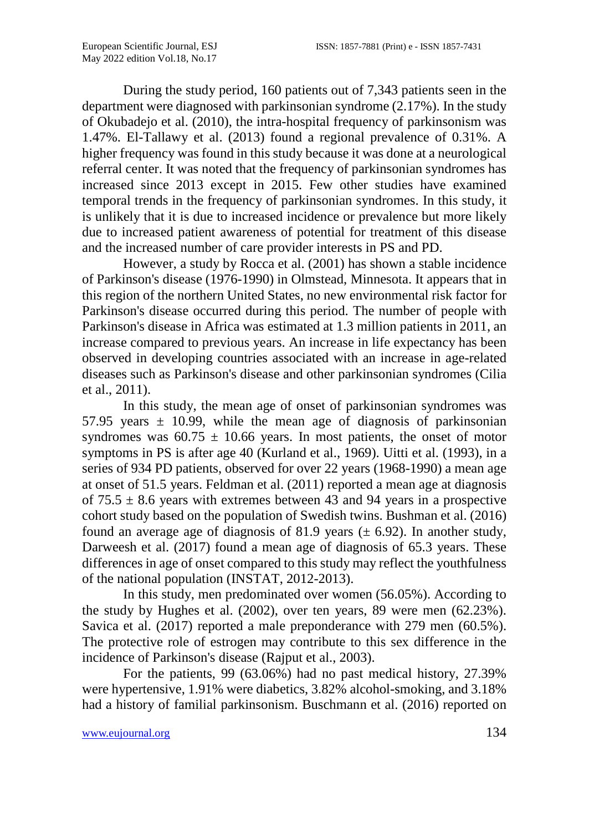During the study period, 160 patients out of 7,343 patients seen in the department were diagnosed with parkinsonian syndrome (2.17%). In the study of Okubadejo et al. (2010), the intra-hospital frequency of parkinsonism was 1.47%. El-Tallawy et al. (2013) found a regional prevalence of 0.31%. A higher frequency was found in this study because it was done at a neurological referral center. It was noted that the frequency of parkinsonian syndromes has increased since 2013 except in 2015. Few other studies have examined temporal trends in the frequency of parkinsonian syndromes. In this study, it is unlikely that it is due to increased incidence or prevalence but more likely due to increased patient awareness of potential for treatment of this disease and the increased number of care provider interests in PS and PD.

However, a study by Rocca et al. (2001) has shown a stable incidence of Parkinson's disease (1976-1990) in Olmstead, Minnesota. It appears that in this region of the northern United States, no new environmental risk factor for Parkinson's disease occurred during this period. The number of people with Parkinson's disease in Africa was estimated at 1.3 million patients in 2011, an increase compared to previous years. An increase in life expectancy has been observed in developing countries associated with an increase in age-related diseases such as Parkinson's disease and other parkinsonian syndromes (Cilia et al., 2011).

In this study, the mean age of onset of parkinsonian syndromes was 57.95 years  $\pm$  10.99, while the mean age of diagnosis of parkinsonian syndromes was  $60.75 \pm 10.66$  years. In most patients, the onset of motor symptoms in PS is after age 40 (Kurland et al., 1969). Uitti et al. (1993), in a series of 934 PD patients, observed for over 22 years (1968-1990) a mean age at onset of 51.5 years. Feldman et al. (2011) reported a mean age at diagnosis of  $75.5 \pm 8.6$  years with extremes between 43 and 94 years in a prospective cohort study based on the population of Swedish twins. Bushman et al. (2016) found an average age of diagnosis of 81.9 years  $(\pm 6.92)$ . In another study, Darweesh et al. (2017) found a mean age of diagnosis of 65.3 years. These differences in age of onset compared to this study may reflect the youthfulness of the national population (INSTAT, 2012-2013).

In this study, men predominated over women (56.05%). According to the study by Hughes et al. (2002), over ten years, 89 were men (62.23%). Savica et al. (2017) reported a male preponderance with 279 men (60.5%). The protective role of estrogen may contribute to this sex difference in the incidence of Parkinson's disease (Rajput et al., 2003).

For the patients, 99 (63.06%) had no past medical history, 27.39% were hypertensive, 1.91% were diabetics, 3.82% alcohol-smoking, and 3.18% had a history of familial parkinsonism. Buschmann et al. (2016) reported on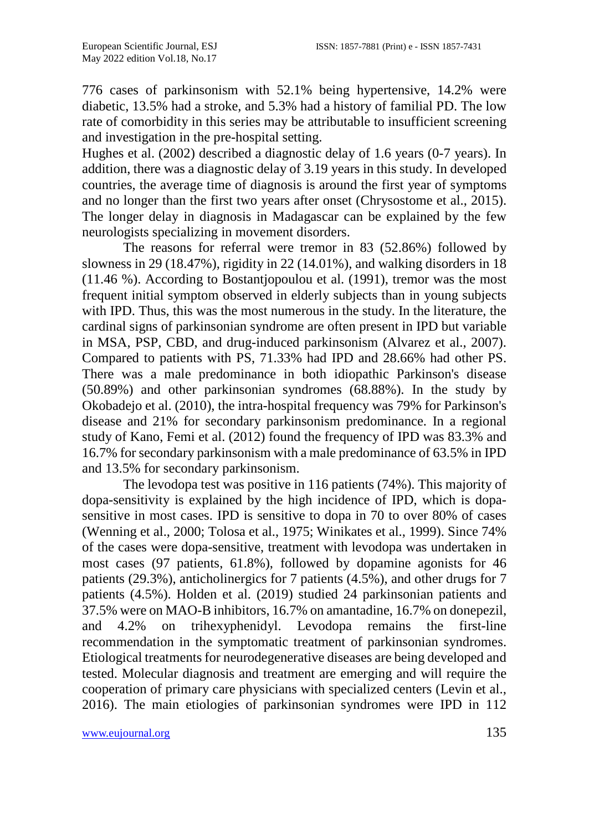776 cases of parkinsonism with 52.1% being hypertensive, 14.2% were diabetic, 13.5% had a stroke, and 5.3% had a history of familial PD. The low rate of comorbidity in this series may be attributable to insufficient screening and investigation in the pre-hospital setting.

Hughes et al. (2002) described a diagnostic delay of 1.6 years (0-7 years). In addition, there was a diagnostic delay of 3.19 years in this study. In developed countries, the average time of diagnosis is around the first year of symptoms and no longer than the first two years after onset (Chrysostome et al., 2015). The longer delay in diagnosis in Madagascar can be explained by the few neurologists specializing in movement disorders.

The reasons for referral were tremor in 83 (52.86%) followed by slowness in 29 (18.47%), rigidity in 22 (14.01%), and walking disorders in 18 (11.46 %). According to Bostantjopoulou et al. (1991), tremor was the most frequent initial symptom observed in elderly subjects than in young subjects with IPD. Thus, this was the most numerous in the study. In the literature, the cardinal signs of parkinsonian syndrome are often present in IPD but variable in MSA, PSP, CBD, and drug-induced parkinsonism (Alvarez et al., 2007). Compared to patients with PS, 71.33% had IPD and 28.66% had other PS. There was a male predominance in both idiopathic Parkinson's disease (50.89%) and other parkinsonian syndromes (68.88%). In the study by Okobadejo et al. (2010), the intra-hospital frequency was 79% for Parkinson's disease and 21% for secondary parkinsonism predominance. In a regional study of Kano, Femi et al. (2012) found the frequency of IPD was 83.3% and 16.7% for secondary parkinsonism with a male predominance of 63.5% in IPD and 13.5% for secondary parkinsonism.

The levodopa test was positive in 116 patients (74%). This majority of dopa-sensitivity is explained by the high incidence of IPD, which is dopasensitive in most cases. IPD is sensitive to dopa in 70 to over 80% of cases (Wenning et al., 2000; Tolosa et al., 1975; Winikates et al., 1999). Since 74% of the cases were dopa-sensitive, treatment with levodopa was undertaken in most cases (97 patients, 61.8%), followed by dopamine agonists for 46 patients (29.3%), anticholinergics for 7 patients (4.5%), and other drugs for 7 patients (4.5%). Holden et al. (2019) studied 24 parkinsonian patients and 37.5% were on MAO-B inhibitors, 16.7% on amantadine, 16.7% on donepezil, and 4.2% on trihexyphenidyl. Levodopa remains the first-line recommendation in the symptomatic treatment of parkinsonian syndromes. Etiological treatments for neurodegenerative diseases are being developed and tested. Molecular diagnosis and treatment are emerging and will require the cooperation of primary care physicians with specialized centers (Levin et al., 2016). The main etiologies of parkinsonian syndromes were IPD in 112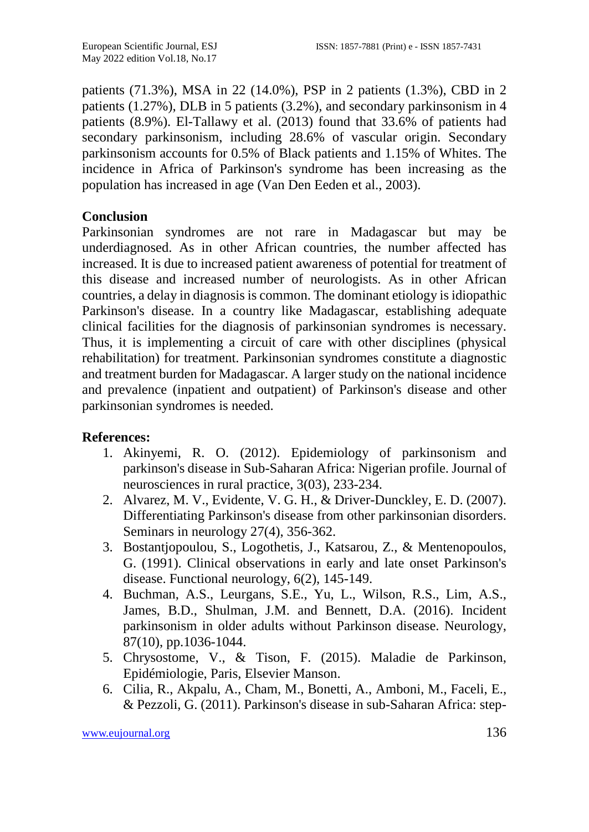patients (71.3%), MSA in 22 (14.0%), PSP in 2 patients (1.3%), CBD in 2 patients (1.27%), DLB in 5 patients (3.2%), and secondary parkinsonism in 4 patients (8.9%). El-Tallawy et al. (2013) found that 33.6% of patients had secondary parkinsonism, including 28.6% of vascular origin. Secondary parkinsonism accounts for 0.5% of Black patients and 1.15% of Whites. The incidence in Africa of Parkinson's syndrome has been increasing as the population has increased in age (Van Den Eeden et al., 2003).

## **Conclusion**

Parkinsonian syndromes are not rare in Madagascar but may be underdiagnosed. As in other African countries, the number affected has increased. It is due to increased patient awareness of potential for treatment of this disease and increased number of neurologists. As in other African countries, a delay in diagnosis is common. The dominant etiology is idiopathic Parkinson's disease. In a country like Madagascar, establishing adequate clinical facilities for the diagnosis of parkinsonian syndromes is necessary. Thus, it is implementing a circuit of care with other disciplines (physical rehabilitation) for treatment. Parkinsonian syndromes constitute a diagnostic and treatment burden for Madagascar. A larger study on the national incidence and prevalence (inpatient and outpatient) of Parkinson's disease and other parkinsonian syndromes is needed.

## **References:**

- 1. Akinyemi, R. O. (2012). Epidemiology of parkinsonism and parkinson's disease in Sub-Saharan Africa: Nigerian profile. Journal of neurosciences in rural practice, 3(03), 233-234.
- 2. Alvarez, M. V., Evidente, V. G. H., & Driver-Dunckley, E. D. (2007). Differentiating Parkinson's disease from other parkinsonian disorders. Seminars in neurology 27(4), 356-362.
- 3. Bostantjopoulou, S., Logothetis, J., Katsarou, Z., & Mentenopoulos, G. (1991). Clinical observations in early and late onset Parkinson's disease. Functional neurology, 6(2), 145-149.
- 4. Buchman, A.S., Leurgans, S.E., Yu, L., Wilson, R.S., Lim, A.S., James, B.D., Shulman, J.M. and Bennett, D.A. (2016). Incident parkinsonism in older adults without Parkinson disease. Neurology, 87(10), pp.1036-1044.
- 5. Chrysostome, V., & Tison, F. (2015). Maladie de Parkinson, Epidémiologie, Paris, Elsevier Manson.
- 6. Cilia, R., Akpalu, A., Cham, M., Bonetti, A., Amboni, M., Faceli, E., & Pezzoli, G. (2011). Parkinson's disease in sub-Saharan Africa: step-

[www.eujournal.org](http://www.eujournal.org/) 136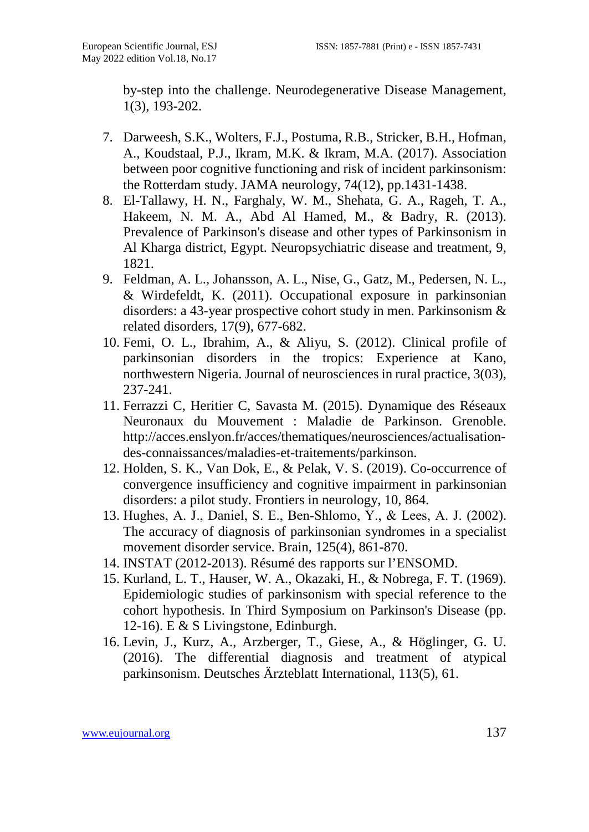by-step into the challenge. Neurodegenerative Disease Management, 1(3), 193-202.

- 7. Darweesh, S.K., Wolters, F.J., Postuma, R.B., Stricker, B.H., Hofman, A., Koudstaal, P.J., Ikram, M.K. & Ikram, M.A. (2017). Association between poor cognitive functioning and risk of incident parkinsonism: the Rotterdam study. JAMA neurology, 74(12), pp.1431-1438.
- 8. El-Tallawy, H. N., Farghaly, W. M., Shehata, G. A., Rageh, T. A., Hakeem, N. M. A., Abd Al Hamed, M., & Badry, R. (2013). Prevalence of Parkinson's disease and other types of Parkinsonism in Al Kharga district, Egypt. Neuropsychiatric disease and treatment, 9, 1821.
- 9. Feldman, A. L., Johansson, A. L., Nise, G., Gatz, M., Pedersen, N. L., & Wirdefeldt, K. (2011). Occupational exposure in parkinsonian disorders: a 43-year prospective cohort study in men. Parkinsonism & related disorders, 17(9), 677-682.
- 10. Femi, O. L., Ibrahim, A., & Aliyu, S. (2012). Clinical profile of parkinsonian disorders in the tropics: Experience at Kano, northwestern Nigeria. Journal of neurosciences in rural practice, 3(03), 237-241.
- 11. Ferrazzi C, Heritier C, Savasta M. (2015). Dynamique des Réseaux Neuronaux du Mouvement : Maladie de Parkinson. Grenoble. http://acces.enslyon.fr/acces/thematiques/neurosciences/actualisationdes-connaissances/maladies-et-traitements/parkinson.
- 12. Holden, S. K., Van Dok, E., & Pelak, V. S. (2019). Co-occurrence of convergence insufficiency and cognitive impairment in parkinsonian disorders: a pilot study. Frontiers in neurology, 10, 864.
- 13. Hughes, A. J., Daniel, S. E., Ben‐Shlomo, Y., & Lees, A. J. (2002). The accuracy of diagnosis of parkinsonian syndromes in a specialist movement disorder service. Brain, 125(4), 861-870.
- 14. INSTAT (2012-2013). Résumé des rapports sur l'ENSOMD.
- 15. Kurland, L. T., Hauser, W. A., Okazaki, H., & Nobrega, F. T. (1969). Epidemiologic studies of parkinsonism with special reference to the cohort hypothesis. In Third Symposium on Parkinson's Disease (pp. 12-16). E & S Livingstone, Edinburgh.
- 16. Levin, J., Kurz, A., Arzberger, T., Giese, A., & Höglinger, G. U. (2016). The differential diagnosis and treatment of atypical parkinsonism. Deutsches Ärzteblatt International, 113(5), 61.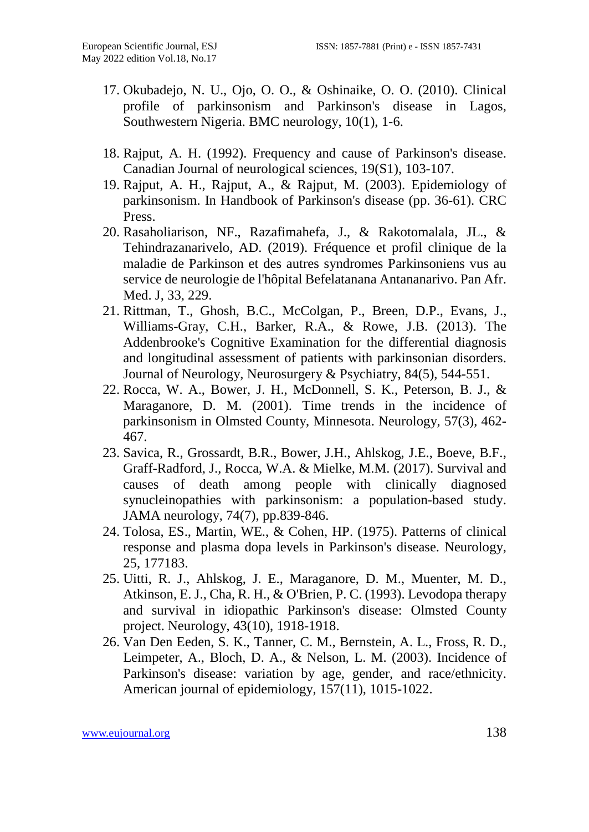- 17. Okubadejo, N. U., Ojo, O. O., & Oshinaike, O. O. (2010). Clinical profile of parkinsonism and Parkinson's disease in Lagos, Southwestern Nigeria. BMC neurology, 10(1), 1-6.
- 18. Rajput, A. H. (1992). Frequency and cause of Parkinson's disease. Canadian Journal of neurological sciences, 19(S1), 103-107.
- 19. Rajput, A. H., Rajput, A., & Rajput, M. (2003). Epidemiology of parkinsonism. In Handbook of Parkinson's disease (pp. 36-61). CRC Press.
- 20. Rasaholiarison, NF., Razafimahefa, J., & Rakotomalala, JL., & Tehindrazanarivelo, AD. (2019). Fréquence et profil clinique de la maladie de Parkinson et des autres syndromes Parkinsoniens vus au service de neurologie de l'hôpital Befelatanana Antananarivo. Pan Afr. Med. J, 33, 229.
- 21. Rittman, T., Ghosh, B.C., McColgan, P., Breen, D.P., Evans, J., Williams-Gray, C.H., Barker, R.A., & Rowe, J.B. (2013). The Addenbrooke's Cognitive Examination for the differential diagnosis and longitudinal assessment of patients with parkinsonian disorders. Journal of Neurology, Neurosurgery & Psychiatry, 84(5), 544-551.
- 22. Rocca, W. A., Bower, J. H., McDonnell, S. K., Peterson, B. J., & Maraganore, D. M. (2001). Time trends in the incidence of parkinsonism in Olmsted County, Minnesota. Neurology, 57(3), 462- 467.
- 23. Savica, R., Grossardt, B.R., Bower, J.H., Ahlskog, J.E., Boeve, B.F., Graff-Radford, J., Rocca, W.A. & Mielke, M.M. (2017). Survival and causes of death among people with clinically diagnosed synucleinopathies with parkinsonism: a population-based study. JAMA neurology, 74(7), pp.839-846.
- 24. Tolosa, ES., Martin, WE., & Cohen, HP. (1975). Patterns of clinical response and plasma dopa levels in Parkinson's disease. Neurology, 25, 177183.
- 25. Uitti, R. J., Ahlskog, J. E., Maraganore, D. M., Muenter, M. D., Atkinson, E. J., Cha, R. H., & O'Brien, P. C. (1993). Levodopa therapy and survival in idiopathic Parkinson's disease: Olmsted County project. Neurology, 43(10), 1918-1918.
- 26. Van Den Eeden, S. K., Tanner, C. M., Bernstein, A. L., Fross, R. D., Leimpeter, A., Bloch, D. A., & Nelson, L. M. (2003). Incidence of Parkinson's disease: variation by age, gender, and race/ethnicity. American journal of epidemiology, 157(11), 1015-1022.